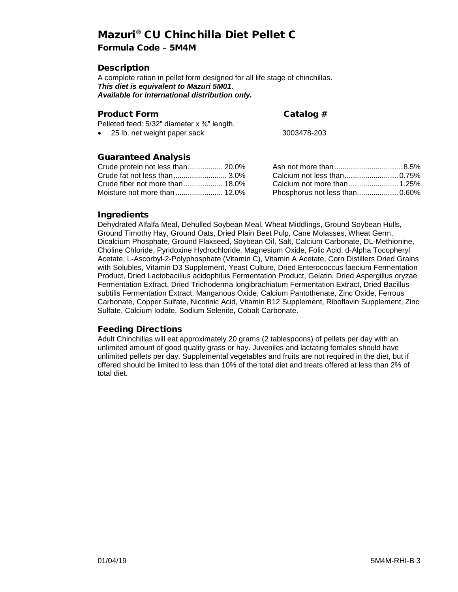# Mazuri® CU Chinchilla Diet Pellet C

# Formula Code – 5M4M

# **Description**

A complete ration in pellet form designed for all life stage of chinchillas. *This diet is equivalent to Mazuri 5M01*. *Available for international distribution only.*

### Product Form Catalog #

Pelleted feed: 5/32" diameter x %" length.

• 25 lb. net weight paper sack 3003478-203

# Guaranteed Analysis

| Crude protein not less than 20.0% |  |
|-----------------------------------|--|
| Crude fat not less than 3.0%      |  |
|                                   |  |
|                                   |  |

| Calcium not less than 0.75%    |  |
|--------------------------------|--|
| Calcium not more than  1.25%   |  |
| Phosphorus not less than 0.60% |  |

# **Ingredients**

Dehydrated Alfalfa Meal, Dehulled Soybean Meal, Wheat Middlings, Ground Soybean Hulls, Ground Timothy Hay, Ground Oats, Dried Plain Beet Pulp, Cane Molasses, Wheat Germ, Dicalcium Phosphate, Ground Flaxseed, Soybean Oil, Salt, Calcium Carbonate, DL-Methionine, Choline Chloride, Pyridoxine Hydrochloride, Magnesium Oxide, Folic Acid, d-Alpha Tocopheryl Acetate, L-Ascorbyl-2-Polyphosphate (Vitamin C), Vitamin A Acetate, Corn Distillers Dried Grains with Solubles, Vitamin D3 Supplement, Yeast Culture, Dried Enterococcus faecium Fermentation Product, Dried Lactobacillus acidophilus Fermentation Product, Gelatin, Dried Aspergillus oryzae Fermentation Extract, Dried Trichoderma longibrachiatum Fermentation Extract, Dried Bacillus subtilis Fermentation Extract, Manganous Oxide, Calcium Pantothenate, Zinc Oxide, Ferrous Carbonate, Copper Sulfate, Nicotinic Acid, Vitamin B12 Supplement, Riboflavin Supplement, Zinc Sulfate, Calcium Iodate, Sodium Selenite, Cobalt Carbonate.

### Feeding Directions

Adult Chinchillas will eat approximately 20 grams (2 tablespoons) of pellets per day with an unlimited amount of good quality grass or hay. Juveniles and lactating females should have unlimited pellets per day. Supplemental vegetables and fruits are not required in the diet, but if offered should be limited to less than 10% of the total diet and treats offered at less than 2% of total diet.